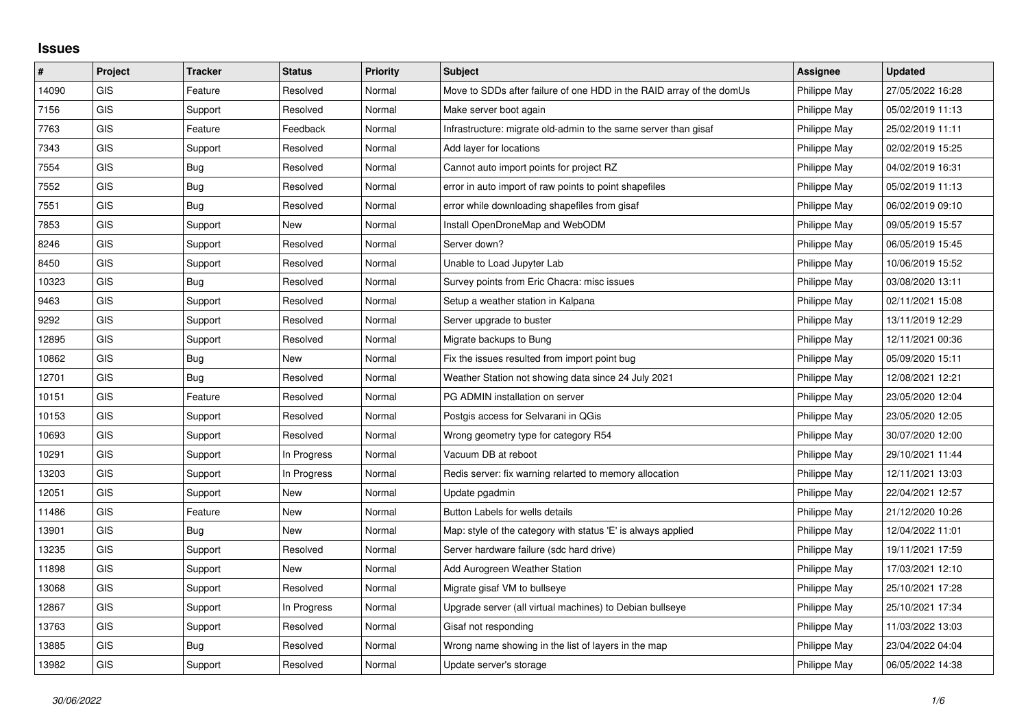## **Issues**

| #     | Project    | <b>Tracker</b> | <b>Status</b> | <b>Priority</b> | <b>Subject</b>                                                       | Assignee     | <b>Updated</b>   |
|-------|------------|----------------|---------------|-----------------|----------------------------------------------------------------------|--------------|------------------|
| 14090 | GIS        | Feature        | Resolved      | Normal          | Move to SDDs after failure of one HDD in the RAID array of the domUs | Philippe May | 27/05/2022 16:28 |
| 7156  | GIS        | Support        | Resolved      | Normal          | Make server boot again                                               | Philippe May | 05/02/2019 11:13 |
| 7763  | <b>GIS</b> | Feature        | Feedback      | Normal          | Infrastructure: migrate old-admin to the same server than gisaf      | Philippe May | 25/02/2019 11:11 |
| 7343  | <b>GIS</b> | Support        | Resolved      | Normal          | Add layer for locations                                              | Philippe May | 02/02/2019 15:25 |
| 7554  | GIS        | Bug            | Resolved      | Normal          | Cannot auto import points for project RZ                             | Philippe May | 04/02/2019 16:31 |
| 7552  | <b>GIS</b> | <b>Bug</b>     | Resolved      | Normal          | error in auto import of raw points to point shapefiles               | Philippe May | 05/02/2019 11:13 |
| 7551  | <b>GIS</b> | Bug            | Resolved      | Normal          | error while downloading shapefiles from gisaf                        | Philippe May | 06/02/2019 09:10 |
| 7853  | <b>GIS</b> | Support        | New           | Normal          | Install OpenDroneMap and WebODM                                      | Philippe May | 09/05/2019 15:57 |
| 8246  | <b>GIS</b> | Support        | Resolved      | Normal          | Server down?                                                         | Philippe May | 06/05/2019 15:45 |
| 8450  | GIS        | Support        | Resolved      | Normal          | Unable to Load Jupyter Lab                                           | Philippe May | 10/06/2019 15:52 |
| 10323 | <b>GIS</b> | <b>Bug</b>     | Resolved      | Normal          | Survey points from Eric Chacra: misc issues                          | Philippe May | 03/08/2020 13:11 |
| 9463  | <b>GIS</b> | Support        | Resolved      | Normal          | Setup a weather station in Kalpana                                   | Philippe May | 02/11/2021 15:08 |
| 9292  | <b>GIS</b> | Support        | Resolved      | Normal          | Server upgrade to buster                                             | Philippe May | 13/11/2019 12:29 |
| 12895 | <b>GIS</b> | Support        | Resolved      | Normal          | Migrate backups to Bung                                              | Philippe May | 12/11/2021 00:36 |
| 10862 | GIS        | Bug            | <b>New</b>    | Normal          | Fix the issues resulted from import point bug                        | Philippe May | 05/09/2020 15:11 |
| 12701 | GIS        | Bug            | Resolved      | Normal          | Weather Station not showing data since 24 July 2021                  | Philippe May | 12/08/2021 12:21 |
| 10151 | <b>GIS</b> | Feature        | Resolved      | Normal          | PG ADMIN installation on server                                      | Philippe May | 23/05/2020 12:04 |
| 10153 | <b>GIS</b> | Support        | Resolved      | Normal          | Postgis access for Selvarani in QGis                                 | Philippe May | 23/05/2020 12:05 |
| 10693 | <b>GIS</b> | Support        | Resolved      | Normal          | Wrong geometry type for category R54                                 | Philippe May | 30/07/2020 12:00 |
| 10291 | GIS        | Support        | In Progress   | Normal          | Vacuum DB at reboot                                                  | Philippe May | 29/10/2021 11:44 |
| 13203 | <b>GIS</b> | Support        | In Progress   | Normal          | Redis server: fix warning relarted to memory allocation              | Philippe May | 12/11/2021 13:03 |
| 12051 | GIS        | Support        | New           | Normal          | Update pgadmin                                                       | Philippe May | 22/04/2021 12:57 |
| 11486 | <b>GIS</b> | Feature        | New           | Normal          | Button Labels for wells details                                      | Philippe May | 21/12/2020 10:26 |
| 13901 | <b>GIS</b> | Bug            | New           | Normal          | Map: style of the category with status 'E' is always applied         | Philippe May | 12/04/2022 11:01 |
| 13235 | GIS        | Support        | Resolved      | Normal          | Server hardware failure (sdc hard drive)                             | Philippe May | 19/11/2021 17:59 |
| 11898 | GIS        | Support        | New           | Normal          | Add Aurogreen Weather Station                                        | Philippe May | 17/03/2021 12:10 |
| 13068 | <b>GIS</b> | Support        | Resolved      | Normal          | Migrate gisaf VM to bullseye                                         | Philippe May | 25/10/2021 17:28 |
| 12867 | GIS        | Support        | In Progress   | Normal          | Upgrade server (all virtual machines) to Debian bullseye             | Philippe May | 25/10/2021 17:34 |
| 13763 | <b>GIS</b> | Support        | Resolved      | Normal          | Gisaf not responding                                                 | Philippe May | 11/03/2022 13:03 |
| 13885 | <b>GIS</b> | Bug            | Resolved      | Normal          | Wrong name showing in the list of layers in the map                  | Philippe May | 23/04/2022 04:04 |
| 13982 | GIS        | Support        | Resolved      | Normal          | Update server's storage                                              | Philippe May | 06/05/2022 14:38 |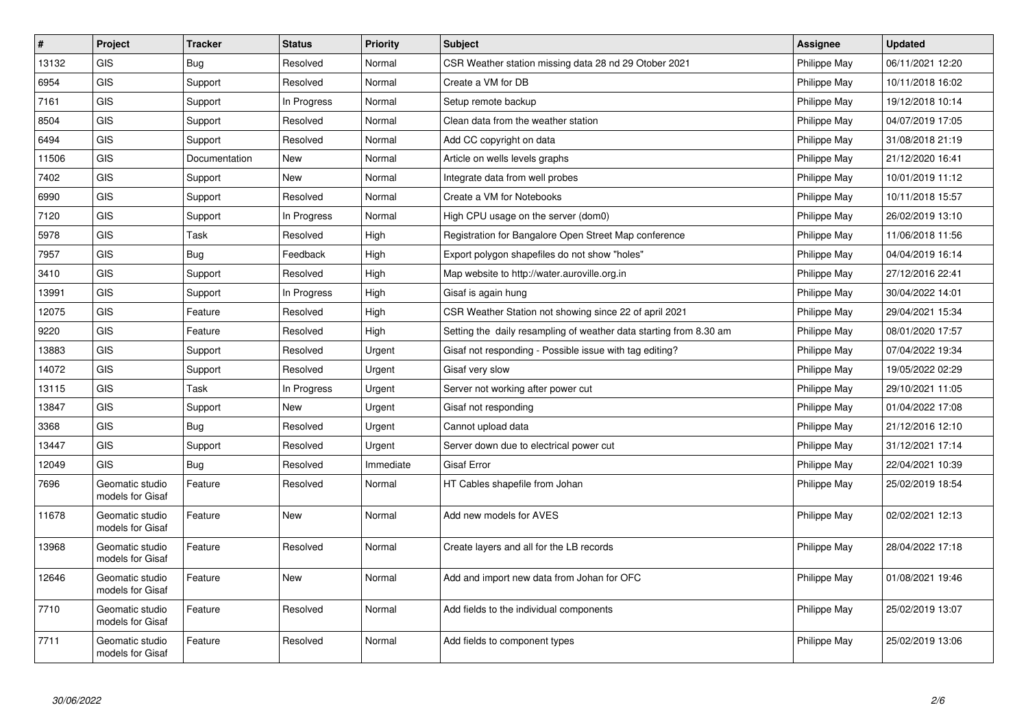| #     | Project                             | <b>Tracker</b> | <b>Status</b> | <b>Priority</b> | <b>Subject</b>                                                     | <b>Assignee</b> | <b>Updated</b>   |
|-------|-------------------------------------|----------------|---------------|-----------------|--------------------------------------------------------------------|-----------------|------------------|
| 13132 | <b>GIS</b>                          | Bug            | Resolved      | Normal          | CSR Weather station missing data 28 nd 29 Otober 2021              | Philippe May    | 06/11/2021 12:20 |
| 6954  | GIS                                 | Support        | Resolved      | Normal          | Create a VM for DB                                                 | Philippe May    | 10/11/2018 16:02 |
| 7161  | GIS                                 | Support        | In Progress   | Normal          | Setup remote backup                                                | Philippe May    | 19/12/2018 10:14 |
| 8504  | GIS                                 | Support        | Resolved      | Normal          | Clean data from the weather station                                | Philippe May    | 04/07/2019 17:05 |
| 6494  | <b>GIS</b>                          | Support        | Resolved      | Normal          | Add CC copyright on data                                           | Philippe May    | 31/08/2018 21:19 |
| 11506 | <b>GIS</b>                          | Documentation  | <b>New</b>    | Normal          | Article on wells levels graphs                                     | Philippe May    | 21/12/2020 16:41 |
| 7402  | <b>GIS</b>                          | Support        | <b>New</b>    | Normal          | Integrate data from well probes                                    | Philippe May    | 10/01/2019 11:12 |
| 6990  | <b>GIS</b>                          | Support        | Resolved      | Normal          | Create a VM for Notebooks                                          | Philippe May    | 10/11/2018 15:57 |
| 7120  | <b>GIS</b>                          | Support        | In Progress   | Normal          | High CPU usage on the server (dom0)                                | Philippe May    | 26/02/2019 13:10 |
| 5978  | <b>GIS</b>                          | Task           | Resolved      | High            | Registration for Bangalore Open Street Map conference              | Philippe May    | 11/06/2018 11:56 |
| 7957  | GIS                                 | <b>Bug</b>     | Feedback      | High            | Export polygon shapefiles do not show "holes"                      | Philippe May    | 04/04/2019 16:14 |
| 3410  | GIS                                 | Support        | Resolved      | High            | Map website to http://water.auroville.org.in                       | Philippe May    | 27/12/2016 22:41 |
| 13991 | GIS                                 | Support        | In Progress   | High            | Gisaf is again hung                                                | Philippe May    | 30/04/2022 14:01 |
| 12075 | <b>GIS</b>                          | Feature        | Resolved      | High            | CSR Weather Station not showing since 22 of april 2021             | Philippe May    | 29/04/2021 15:34 |
| 9220  | GIS                                 | Feature        | Resolved      | High            | Setting the daily resampling of weather data starting from 8.30 am | Philippe May    | 08/01/2020 17:57 |
| 13883 | <b>GIS</b>                          | Support        | Resolved      | Urgent          | Gisaf not responding - Possible issue with tag editing?            | Philippe May    | 07/04/2022 19:34 |
| 14072 | GIS                                 | Support        | Resolved      | Urgent          | Gisaf very slow                                                    | Philippe May    | 19/05/2022 02:29 |
| 13115 | GIS                                 | Task           | In Progress   | Urgent          | Server not working after power cut                                 | Philippe May    | 29/10/2021 11:05 |
| 13847 | <b>GIS</b>                          | Support        | <b>New</b>    | Urgent          | Gisaf not responding                                               | Philippe May    | 01/04/2022 17:08 |
| 3368  | GIS                                 | Bug            | Resolved      | Urgent          | Cannot upload data                                                 | Philippe May    | 21/12/2016 12:10 |
| 13447 | <b>GIS</b>                          | Support        | Resolved      | Urgent          | Server down due to electrical power cut                            | Philippe May    | 31/12/2021 17:14 |
| 12049 | GIS                                 | Bug            | Resolved      | Immediate       | <b>Gisaf Error</b>                                                 | Philippe May    | 22/04/2021 10:39 |
| 7696  | Geomatic studio<br>models for Gisaf | Feature        | Resolved      | Normal          | HT Cables shapefile from Johan                                     | Philippe May    | 25/02/2019 18:54 |
| 11678 | Geomatic studio<br>models for Gisaf | Feature        | New           | Normal          | Add new models for AVES                                            | Philippe May    | 02/02/2021 12:13 |
| 13968 | Geomatic studio<br>models for Gisaf | Feature        | Resolved      | Normal          | Create layers and all for the LB records                           | Philippe May    | 28/04/2022 17:18 |
| 12646 | Geomatic studio<br>models for Gisaf | Feature        | <b>New</b>    | Normal          | Add and import new data from Johan for OFC                         | Philippe May    | 01/08/2021 19:46 |
| 7710  | Geomatic studio<br>models for Gisaf | Feature        | Resolved      | Normal          | Add fields to the individual components                            | Philippe May    | 25/02/2019 13:07 |
| 7711  | Geomatic studio<br>models for Gisaf | Feature        | Resolved      | Normal          | Add fields to component types                                      | Philippe May    | 25/02/2019 13:06 |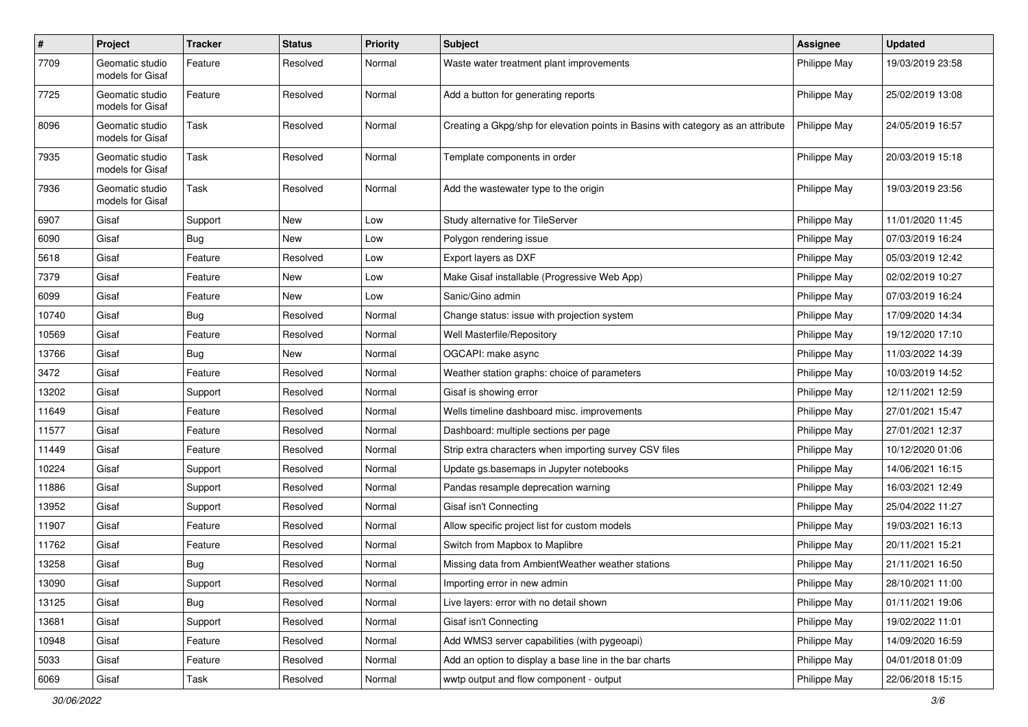| $\pmb{\#}$ | Project                             | <b>Tracker</b> | <b>Status</b> | <b>Priority</b> | <b>Subject</b>                                                                   | <b>Assignee</b> | <b>Updated</b>   |
|------------|-------------------------------------|----------------|---------------|-----------------|----------------------------------------------------------------------------------|-----------------|------------------|
| 7709       | Geomatic studio<br>models for Gisaf | Feature        | Resolved      | Normal          | Waste water treatment plant improvements                                         | Philippe May    | 19/03/2019 23:58 |
| 7725       | Geomatic studio<br>models for Gisaf | Feature        | Resolved      | Normal          | Add a button for generating reports                                              | Philippe May    | 25/02/2019 13:08 |
| 8096       | Geomatic studio<br>models for Gisaf | Task           | Resolved      | Normal          | Creating a Gkpg/shp for elevation points in Basins with category as an attribute | Philippe May    | 24/05/2019 16:57 |
| 7935       | Geomatic studio<br>models for Gisaf | Task           | Resolved      | Normal          | Template components in order                                                     | Philippe May    | 20/03/2019 15:18 |
| 7936       | Geomatic studio<br>models for Gisaf | <b>Task</b>    | Resolved      | Normal          | Add the wastewater type to the origin                                            | Philippe May    | 19/03/2019 23:56 |
| 6907       | Gisaf                               | Support        | New           | Low             | Study alternative for TileServer                                                 | Philippe May    | 11/01/2020 11:45 |
| 6090       | Gisaf                               | Bug            | New           | Low             | Polygon rendering issue                                                          | Philippe May    | 07/03/2019 16:24 |
| 5618       | Gisaf                               | Feature        | Resolved      | Low             | Export layers as DXF                                                             | Philippe May    | 05/03/2019 12:42 |
| 7379       | Gisaf                               | Feature        | New           | Low             | Make Gisaf installable (Progressive Web App)                                     | Philippe May    | 02/02/2019 10:27 |
| 6099       | Gisaf                               | Feature        | New           | Low             | Sanic/Gino admin                                                                 | Philippe May    | 07/03/2019 16:24 |
| 10740      | Gisaf                               | Bug            | Resolved      | Normal          | Change status: issue with projection system                                      | Philippe May    | 17/09/2020 14:34 |
| 10569      | Gisaf                               | Feature        | Resolved      | Normal          | Well Masterfile/Repository                                                       | Philippe May    | 19/12/2020 17:10 |
| 13766      | Gisaf                               | Bug            | New           | Normal          | OGCAPI: make async                                                               | Philippe May    | 11/03/2022 14:39 |
| 3472       | Gisaf                               | Feature        | Resolved      | Normal          | Weather station graphs: choice of parameters                                     | Philippe May    | 10/03/2019 14:52 |
| 13202      | Gisaf                               | Support        | Resolved      | Normal          | Gisaf is showing error                                                           | Philippe May    | 12/11/2021 12:59 |
| 11649      | Gisaf                               | Feature        | Resolved      | Normal          | Wells timeline dashboard misc. improvements                                      | Philippe May    | 27/01/2021 15:47 |
| 11577      | Gisaf                               | Feature        | Resolved      | Normal          | Dashboard: multiple sections per page                                            | Philippe May    | 27/01/2021 12:37 |
| 11449      | Gisaf                               | Feature        | Resolved      | Normal          | Strip extra characters when importing survey CSV files                           | Philippe May    | 10/12/2020 01:06 |
| 10224      | Gisaf                               | Support        | Resolved      | Normal          | Update gs.basemaps in Jupyter notebooks                                          | Philippe May    | 14/06/2021 16:15 |
| 11886      | Gisaf                               | Support        | Resolved      | Normal          | Pandas resample deprecation warning                                              | Philippe May    | 16/03/2021 12:49 |
| 13952      | Gisaf                               | Support        | Resolved      | Normal          | Gisaf isn't Connecting                                                           | Philippe May    | 25/04/2022 11:27 |
| 11907      | Gisaf                               | Feature        | Resolved      | Normal          | Allow specific project list for custom models                                    | Philippe May    | 19/03/2021 16:13 |
| 11762      | Gisaf                               | Feature        | Resolved      | Normal          | Switch from Mapbox to Maplibre                                                   | Philippe May    | 20/11/2021 15:21 |
| 13258      | Gisaf                               | <b>Bug</b>     | Resolved      | Normal          | Missing data from AmbientWeather weather stations                                | Philippe May    | 21/11/2021 16:50 |
| 13090      | Gisaf                               | Support        | Resolved      | Normal          | Importing error in new admin                                                     | Philippe May    | 28/10/2021 11:00 |
| 13125      | Gisaf                               | Bug            | Resolved      | Normal          | Live layers: error with no detail shown                                          | Philippe May    | 01/11/2021 19:06 |
| 13681      | Gisaf                               | Support        | Resolved      | Normal          | Gisaf isn't Connecting                                                           | Philippe May    | 19/02/2022 11:01 |
| 10948      | Gisaf                               | Feature        | Resolved      | Normal          | Add WMS3 server capabilities (with pygeoapi)                                     | Philippe May    | 14/09/2020 16:59 |
| 5033       | Gisaf                               | Feature        | Resolved      | Normal          | Add an option to display a base line in the bar charts                           | Philippe May    | 04/01/2018 01:09 |
| 6069       | Gisaf                               | Task           | Resolved      | Normal          | wwtp output and flow component - output                                          | Philippe May    | 22/06/2018 15:15 |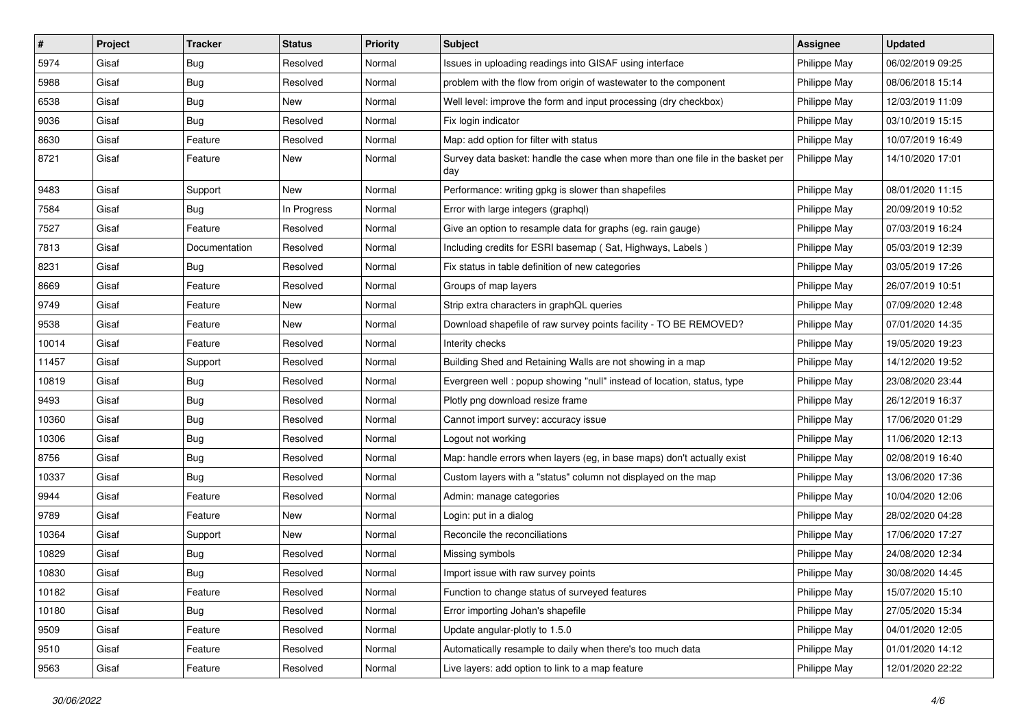| #     | Project | <b>Tracker</b> | <b>Status</b> | <b>Priority</b> | Subject                                                                              | <b>Assignee</b> | <b>Updated</b>   |
|-------|---------|----------------|---------------|-----------------|--------------------------------------------------------------------------------------|-----------------|------------------|
| 5974  | Gisaf   | <b>Bug</b>     | Resolved      | Normal          | Issues in uploading readings into GISAF using interface                              | Philippe May    | 06/02/2019 09:25 |
| 5988  | Gisaf   | Bug            | Resolved      | Normal          | problem with the flow from origin of wastewater to the component                     | Philippe May    | 08/06/2018 15:14 |
| 6538  | Gisaf   | <b>Bug</b>     | New           | Normal          | Well level: improve the form and input processing (dry checkbox)                     | Philippe May    | 12/03/2019 11:09 |
| 9036  | Gisaf   | <b>Bug</b>     | Resolved      | Normal          | Fix login indicator                                                                  | Philippe May    | 03/10/2019 15:15 |
| 8630  | Gisaf   | Feature        | Resolved      | Normal          | Map: add option for filter with status                                               | Philippe May    | 10/07/2019 16:49 |
| 8721  | Gisaf   | Feature        | New           | Normal          | Survey data basket: handle the case when more than one file in the basket per<br>day | Philippe May    | 14/10/2020 17:01 |
| 9483  | Gisaf   | Support        | New           | Normal          | Performance: writing gpkg is slower than shapefiles                                  | Philippe May    | 08/01/2020 11:15 |
| 7584  | Gisaf   | Bug            | In Progress   | Normal          | Error with large integers (graphql)                                                  | Philippe May    | 20/09/2019 10:52 |
| 7527  | Gisaf   | Feature        | Resolved      | Normal          | Give an option to resample data for graphs (eg. rain gauge)                          | Philippe May    | 07/03/2019 16:24 |
| 7813  | Gisaf   | Documentation  | Resolved      | Normal          | Including credits for ESRI basemap (Sat, Highways, Labels)                           | Philippe May    | 05/03/2019 12:39 |
| 8231  | Gisaf   | Bug            | Resolved      | Normal          | Fix status in table definition of new categories                                     | Philippe May    | 03/05/2019 17:26 |
| 8669  | Gisaf   | Feature        | Resolved      | Normal          | Groups of map layers                                                                 | Philippe May    | 26/07/2019 10:51 |
| 9749  | Gisaf   | Feature        | New           | Normal          | Strip extra characters in graphQL queries                                            | Philippe May    | 07/09/2020 12:48 |
| 9538  | Gisaf   | Feature        | New           | Normal          | Download shapefile of raw survey points facility - TO BE REMOVED?                    | Philippe May    | 07/01/2020 14:35 |
| 10014 | Gisaf   | Feature        | Resolved      | Normal          | Interity checks                                                                      | Philippe May    | 19/05/2020 19:23 |
| 11457 | Gisaf   | Support        | Resolved      | Normal          | Building Shed and Retaining Walls are not showing in a map                           | Philippe May    | 14/12/2020 19:52 |
| 10819 | Gisaf   | <b>Bug</b>     | Resolved      | Normal          | Evergreen well: popup showing "null" instead of location, status, type               | Philippe May    | 23/08/2020 23:44 |
| 9493  | Gisaf   | <b>Bug</b>     | Resolved      | Normal          | Plotly png download resize frame                                                     | Philippe May    | 26/12/2019 16:37 |
| 10360 | Gisaf   | Bug            | Resolved      | Normal          | Cannot import survey: accuracy issue                                                 | Philippe May    | 17/06/2020 01:29 |
| 10306 | Gisaf   | Bug            | Resolved      | Normal          | Logout not working                                                                   | Philippe May    | 11/06/2020 12:13 |
| 8756  | Gisaf   | <b>Bug</b>     | Resolved      | Normal          | Map: handle errors when layers (eg, in base maps) don't actually exist               | Philippe May    | 02/08/2019 16:40 |
| 10337 | Gisaf   | Bug            | Resolved      | Normal          | Custom layers with a "status" column not displayed on the map                        | Philippe May    | 13/06/2020 17:36 |
| 9944  | Gisaf   | Feature        | Resolved      | Normal          | Admin: manage categories                                                             | Philippe May    | 10/04/2020 12:06 |
| 9789  | Gisaf   | Feature        | New           | Normal          | Login: put in a dialog                                                               | Philippe May    | 28/02/2020 04:28 |
| 10364 | Gisaf   | Support        | New           | Normal          | Reconcile the reconciliations                                                        | Philippe May    | 17/06/2020 17:27 |
| 10829 | Gisaf   | <b>Bug</b>     | Resolved      | Normal          | Missing symbols                                                                      | Philippe May    | 24/08/2020 12:34 |
| 10830 | Gisaf   | <b>Bug</b>     | Resolved      | Normal          | Import issue with raw survey points                                                  | Philippe May    | 30/08/2020 14:45 |
| 10182 | Gisaf   | Feature        | Resolved      | Normal          | Function to change status of surveyed features                                       | Philippe May    | 15/07/2020 15:10 |
| 10180 | Gisaf   | Bug            | Resolved      | Normal          | Error importing Johan's shapefile                                                    | Philippe May    | 27/05/2020 15:34 |
| 9509  | Gisaf   | Feature        | Resolved      | Normal          | Update angular-plotly to 1.5.0                                                       | Philippe May    | 04/01/2020 12:05 |
| 9510  | Gisaf   | Feature        | Resolved      | Normal          | Automatically resample to daily when there's too much data                           | Philippe May    | 01/01/2020 14:12 |
| 9563  | Gisaf   | Feature        | Resolved      | Normal          | Live layers: add option to link to a map feature                                     | Philippe May    | 12/01/2020 22:22 |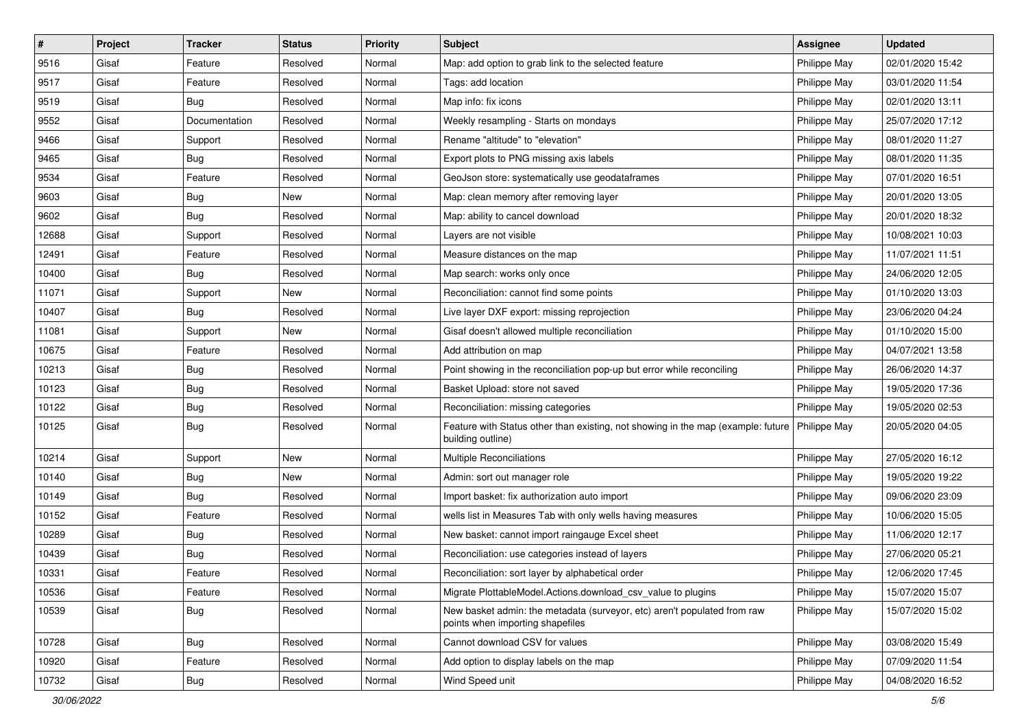| $\vert$ # | Project | <b>Tracker</b> | <b>Status</b> | <b>Priority</b> | <b>Subject</b>                                                                                               | <b>Assignee</b> | <b>Updated</b>   |
|-----------|---------|----------------|---------------|-----------------|--------------------------------------------------------------------------------------------------------------|-----------------|------------------|
| 9516      | Gisaf   | Feature        | Resolved      | Normal          | Map: add option to grab link to the selected feature                                                         | Philippe May    | 02/01/2020 15:42 |
| 9517      | Gisaf   | Feature        | Resolved      | Normal          | Tags: add location                                                                                           | Philippe May    | 03/01/2020 11:54 |
| 9519      | Gisaf   | <b>Bug</b>     | Resolved      | Normal          | Map info: fix icons                                                                                          | Philippe May    | 02/01/2020 13:11 |
| 9552      | Gisaf   | Documentation  | Resolved      | Normal          | Weekly resampling - Starts on mondays                                                                        | Philippe May    | 25/07/2020 17:12 |
| 9466      | Gisaf   | Support        | Resolved      | Normal          | Rename "altitude" to "elevation"                                                                             | Philippe May    | 08/01/2020 11:27 |
| 9465      | Gisaf   | <b>Bug</b>     | Resolved      | Normal          | Export plots to PNG missing axis labels                                                                      | Philippe May    | 08/01/2020 11:35 |
| 9534      | Gisaf   | Feature        | Resolved      | Normal          | GeoJson store: systematically use geodataframes                                                              | Philippe May    | 07/01/2020 16:51 |
| 9603      | Gisaf   | <b>Bug</b>     | New           | Normal          | Map: clean memory after removing layer                                                                       | Philippe May    | 20/01/2020 13:05 |
| 9602      | Gisaf   | <b>Bug</b>     | Resolved      | Normal          | Map: ability to cancel download                                                                              | Philippe May    | 20/01/2020 18:32 |
| 12688     | Gisaf   | Support        | Resolved      | Normal          | Layers are not visible                                                                                       | Philippe May    | 10/08/2021 10:03 |
| 12491     | Gisaf   | Feature        | Resolved      | Normal          | Measure distances on the map                                                                                 | Philippe May    | 11/07/2021 11:51 |
| 10400     | Gisaf   | <b>Bug</b>     | Resolved      | Normal          | Map search: works only once                                                                                  | Philippe May    | 24/06/2020 12:05 |
| 11071     | Gisaf   | Support        | New           | Normal          | Reconciliation: cannot find some points                                                                      | Philippe May    | 01/10/2020 13:03 |
| 10407     | Gisaf   | Bug            | Resolved      | Normal          | Live layer DXF export: missing reprojection                                                                  | Philippe May    | 23/06/2020 04:24 |
| 11081     | Gisaf   | Support        | New           | Normal          | Gisaf doesn't allowed multiple reconciliation                                                                | Philippe May    | 01/10/2020 15:00 |
| 10675     | Gisaf   | Feature        | Resolved      | Normal          | Add attribution on map                                                                                       | Philippe May    | 04/07/2021 13:58 |
| 10213     | Gisaf   | <b>Bug</b>     | Resolved      | Normal          | Point showing in the reconciliation pop-up but error while reconciling                                       | Philippe May    | 26/06/2020 14:37 |
| 10123     | Gisaf   | Bug            | Resolved      | Normal          | Basket Upload: store not saved                                                                               | Philippe May    | 19/05/2020 17:36 |
| 10122     | Gisaf   | Bug            | Resolved      | Normal          | Reconciliation: missing categories                                                                           | Philippe May    | 19/05/2020 02:53 |
| 10125     | Gisaf   | <b>Bug</b>     | Resolved      | Normal          | Feature with Status other than existing, not showing in the map (example: future<br>building outline)        | Philippe May    | 20/05/2020 04:05 |
| 10214     | Gisaf   | Support        | New           | Normal          | Multiple Reconciliations                                                                                     | Philippe May    | 27/05/2020 16:12 |
| 10140     | Gisaf   | Bug            | New           | Normal          | Admin: sort out manager role                                                                                 | Philippe May    | 19/05/2020 19:22 |
| 10149     | Gisaf   | <b>Bug</b>     | Resolved      | Normal          | Import basket: fix authorization auto import                                                                 | Philippe May    | 09/06/2020 23:09 |
| 10152     | Gisaf   | Feature        | Resolved      | Normal          | wells list in Measures Tab with only wells having measures                                                   | Philippe May    | 10/06/2020 15:05 |
| 10289     | Gisaf   | Bug            | Resolved      | Normal          | New basket: cannot import raingauge Excel sheet                                                              | Philippe May    | 11/06/2020 12:17 |
| 10439     | Gisaf   | <b>Bug</b>     | Resolved      | Normal          | Reconciliation: use categories instead of layers                                                             | Philippe May    | 27/06/2020 05:21 |
| 10331     | Gisaf   | Feature        | Resolved      | Normal          | Reconciliation: sort layer by alphabetical order                                                             | Philippe May    | 12/06/2020 17:45 |
| 10536     | Gisaf   | Feature        | Resolved      | Normal          | Migrate PlottableModel.Actions.download_csv_value to plugins                                                 | Philippe May    | 15/07/2020 15:07 |
| 10539     | Gisaf   | <b>Bug</b>     | Resolved      | Normal          | New basket admin: the metadata (surveyor, etc) aren't populated from raw<br>points when importing shapefiles | Philippe May    | 15/07/2020 15:02 |
| 10728     | Gisaf   | Bug            | Resolved      | Normal          | Cannot download CSV for values                                                                               | Philippe May    | 03/08/2020 15:49 |
| 10920     | Gisaf   | Feature        | Resolved      | Normal          | Add option to display labels on the map                                                                      | Philippe May    | 07/09/2020 11:54 |
| 10732     | Gisaf   | Bug            | Resolved      | Normal          | Wind Speed unit                                                                                              | Philippe May    | 04/08/2020 16:52 |